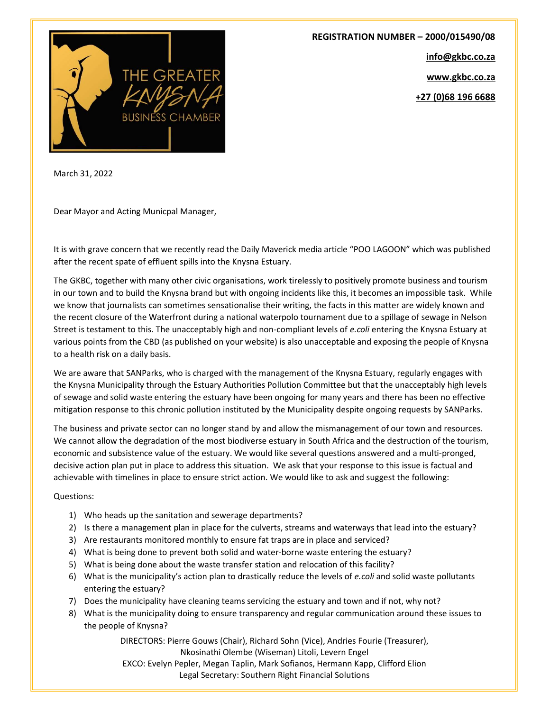

REGISTRATION NUMBER – 2000/015490/08 info@gkbc.co.za

www.gkbc.co.za

+27 (0)68 196 6688

March 31, 2022

Dear Mayor and Acting Municpal Manager,

It is with grave concern that we recently read the Daily Maverick media article "POO LAGOON" which was published after the recent spate of effluent spills into the Knysna Estuary.

The GKBC, together with many other civic organisations, work tirelessly to positively promote business and tourism in our town and to build the Knysna brand but with ongoing incidents like this, it becomes an impossible task. While we know that journalists can sometimes sensationalise their writing, the facts in this matter are widely known and the recent closure of the Waterfront during a national waterpolo tournament due to a spillage of sewage in Nelson Street is testament to this. The unacceptably high and non-compliant levels of e.coli entering the Knysna Estuary at various points from the CBD (as published on your website) is also unacceptable and exposing the people of Knysna to a health risk on a daily basis.

We are aware that SANParks, who is charged with the management of the Knysna Estuary, regularly engages with the Knysna Municipality through the Estuary Authorities Pollution Committee but that the unacceptably high levels of sewage and solid waste entering the estuary have been ongoing for many years and there has been no effective mitigation response to this chronic pollution instituted by the Municipality despite ongoing requests by SANParks.

The business and private sector can no longer stand by and allow the mismanagement of our town and resources. We cannot allow the degradation of the most biodiverse estuary in South Africa and the destruction of the tourism, economic and subsistence value of the estuary. We would like several questions answered and a multi-pronged, decisive action plan put in place to address this situation. We ask that your response to this issue is factual and achievable with timelines in place to ensure strict action. We would like to ask and suggest the following:

Questions:

- 1) Who heads up the sanitation and sewerage departments?
- 2) Is there a management plan in place for the culverts, streams and waterways that lead into the estuary?
- 3) Are restaurants monitored monthly to ensure fat traps are in place and serviced?
- 4) What is being done to prevent both solid and water-borne waste entering the estuary?
- 5) What is being done about the waste transfer station and relocation of this facility?
- 6) What is the municipality's action plan to drastically reduce the levels of e.coli and solid waste pollutants entering the estuary?
- 7) Does the municipality have cleaning teams servicing the estuary and town and if not, why not?
- 8) What is the municipality doing to ensure transparency and regular communication around these issues to the people of Knysna?

DIRECTORS: Pierre Gouws (Chair), Richard Sohn (Vice), Andries Fourie (Treasurer), Nkosinathi Olembe (Wiseman) Litoli, Levern Engel EXCO: Evelyn Pepler, Megan Taplin, Mark Sofianos, Hermann Kapp, Clifford Elion

Legal Secretary: Southern Right Financial Solutions